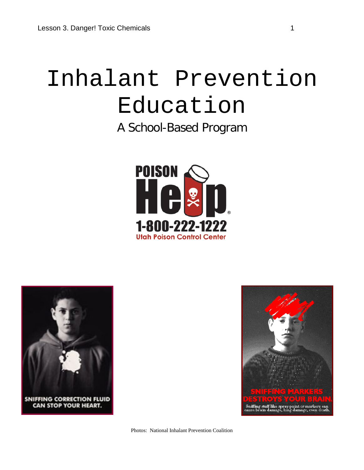# Inhalant Prevention Education

A School-Based Program







Photos: National Inhalant Prevention Coalition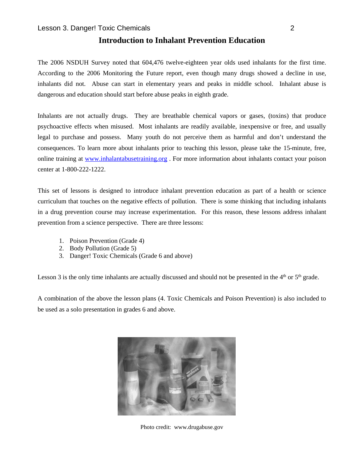# **Introduction to Inhalant Prevention Education**

The 2006 NSDUH Survey noted that 604,476 twelve-eighteen year olds used inhalants for the first time. According to the 2006 Monitoring the Future report, even though many drugs showed a decline in use, inhalants did not. Abuse can start in elementary years and peaks in middle school. Inhalant abuse is dangerous and education should start before abuse peaks in eighth grade.

Inhalants are not actually drugs. They are breathable chemical vapors or gases, (toxins) that produce psychoactive effects when misused. Most inhalants are readily available, inexpensive or free, and usually legal to purchase and possess. Many youth do not perceive them as harmful and don't understand the consequences. To learn more about inhalants prior to teaching this lesson, please take the 15-minute, free, online training at [www.inhalantabusetraining.org](http://www.inhalantabusetraining.org/) . For more information about inhalants contact your poison center at 1-800-222-1222.

This set of lessons is designed to introduce inhalant prevention education as part of a health or science curriculum that touches on the negative effects of pollution. There is some thinking that including inhalants in a drug prevention course may increase experimentation. For this reason, these lessons address inhalant prevention from a science perspective. There are three lessons:

- 1. Poison Prevention (Grade 4)
- 2. Body Pollution (Grade 5)
- 3. Danger! Toxic Chemicals (Grade 6 and above)

Lesson 3 is the only time inhalants are actually discussed and should not be presented in the  $4<sup>th</sup>$  or  $5<sup>th</sup>$  grade.

A combination of the above the lesson plans (4. Toxic Chemicals and Poison Prevention) is also included to be used as a solo presentation in grades 6 and above.



Photo credit: www.drugabuse.gov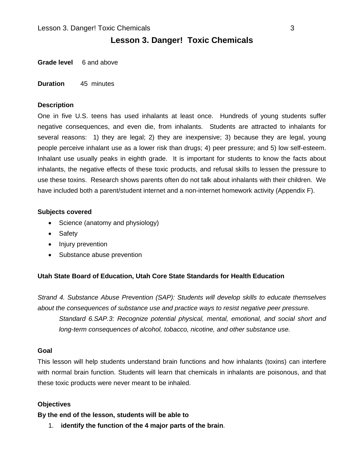# **Lesson 3. Danger! Toxic Chemicals**

**Grade level** 6 and above

**Duration** 45 minutes

#### **Description**

One in five U.S. teens has used inhalants at least once. Hundreds of young students suffer negative consequences, and even die, from inhalants. Students are attracted to inhalants for several reasons: 1) they are legal; 2) they are inexpensive; 3) because they are legal, young people perceive inhalant use as a lower risk than drugs; 4) peer pressure; and 5) low self-esteem. Inhalant use usually peaks in eighth grade. It is important for students to know the facts about inhalants, the negative effects of these toxic products, and refusal skills to lessen the pressure to use these toxins. Research shows parents often do not talk about inhalants with their children. We have included both a parent/student internet and a non-internet homework activity (Appendix F).

#### **Subjects covered**

- Science (anatomy and physiology)
- Safety
- Injury prevention
- Substance abuse prevention

#### **Utah State Board of Education, Utah Core State Standards for Health Education**

*Strand 4. Substance Abuse Prevention (SAP): Students will develop skills to educate themselves about the consequences of substance use and practice ways to resist negative peer pressure. Standard 6.SAP.3: Recognize potential physical, mental, emotional, and social short and* 

*long-term consequences of alcohol, tobacco, nicotine, and other substance use.* 

#### **Goal**

This lesson will help students understand brain functions and how inhalants (toxins) can interfere with normal brain function. Students will learn that chemicals in inhalants are poisonous, and that these toxic products were never meant to be inhaled.

#### **Objectives**

**By the end of the lesson, students will be able to**

1. **identify the function of the 4 major parts of the brain**.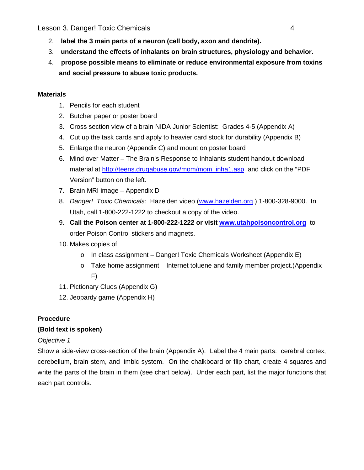Lesson 3. Danger! Toxic Chemicals 4

- 2. **label the 3 main parts of a neuron (cell body, axon and dendrite).**
- 3. **understand the effects of inhalants on brain structures, physiology and behavior.**
- 4. **propose possible means to eliminate or reduce environmental exposure from toxins and social pressure to abuse toxic products.**

# **Materials**

- 1. Pencils for each student
- 2. Butcher paper or poster board
- 3. Cross section view of a brain NIDA Junior Scientist: Grades 4-5 (Appendix A)
- 4. Cut up the task cards and apply to heavier card stock for durability (Appendix B)
- 5. Enlarge the neuron (Appendix C) and mount on poster board
- 6. Mind over Matter The Brain's Response to Inhalants student handout download material at [http://teens.drugabuse.gov/mom/mom\\_inha1.asp](http://teens.drugabuse.gov/mom/mom_inha1.asp) and click on the "PDF Version" button on the left.
- 7. Brain MRI image Appendix D
- 8. *Danger! Toxic Chemicals:* Hazelden video [\(www.hazelden.org](http://www.hazelden.org/) ) 1-800-328-9000. In Utah, call 1-800-222-1222 to checkout a copy of the video.
- 9. **Call the Poison center at 1-800-222-1222 or visit [www.utahpoisoncontrol.org](http://www.utahpoisoncontrol.org/)** to order Poison Control stickers and magnets.
- 10. Makes copies of
	- o In class assignment Danger! Toxic Chemicals Worksheet (Appendix E)
	- o Take home assignment Internet toluene and family member project.(Appendix F)
- 11. Pictionary Clues (Appendix G)
- 12. Jeopardy game (Appendix H)

# **Procedure**

# **(Bold text is spoken)**

# *Objective 1*

Show a side-view cross-section of the brain (Appendix A). Label the 4 main parts: cerebral cortex, cerebellum, brain stem, and limbic system. On the chalkboard or flip chart, create 4 squares and write the parts of the brain in them (see chart below). Under each part, list the major functions that each part controls.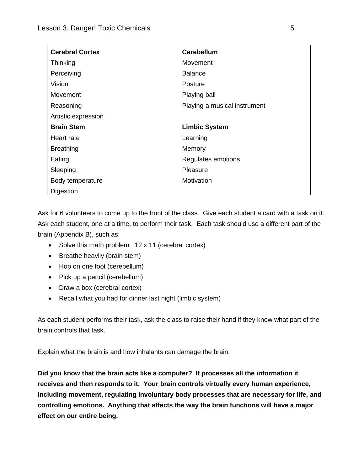| <b>Cerebral Cortex</b> | <b>Cerebellum</b>            |  |
|------------------------|------------------------------|--|
| Thinking               | Movement                     |  |
| Perceiving             | <b>Balance</b>               |  |
| Vision                 | Posture                      |  |
| Movement               | Playing ball                 |  |
| Reasoning              | Playing a musical instrument |  |
| Artistic expression    |                              |  |
| <b>Brain Stem</b>      | <b>Limbic System</b>         |  |
| Heart rate             | Learning                     |  |
| <b>Breathing</b>       | Memory                       |  |
| Eating                 | Regulates emotions           |  |
| Sleeping               | Pleasure                     |  |
| Body temperature       | Motivation                   |  |
| Digestion              |                              |  |

Ask for 6 volunteers to come up to the front of the class. Give each student a card with a task on it. Ask each student, one at a time, to perform their task. Each task should use a different part of the brain (Appendix B), such as:

- Solve this math problem: 12 x 11 (cerebral cortex)
- Breathe heavily (brain stem)
- Hop on one foot (cerebellum)
- Pick up a pencil (cerebellum)
- Draw a box (cerebral cortex)
- Recall what you had for dinner last night (limbic system)

As each student performs their task, ask the class to raise their hand if they know what part of the brain controls that task.

Explain what the brain is and how inhalants can damage the brain.

**Did you know that the brain acts like a computer? It processes all the information it receives and then responds to it. Your brain controls virtually every human experience, including movement, regulating involuntary body processes that are necessary for life, and controlling emotions. Anything that affects the way the brain functions will have a major effect on our entire being.**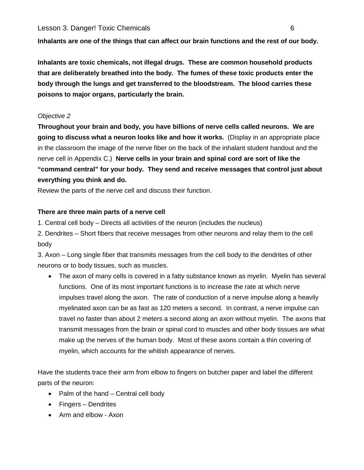**Inhalants are one of the things that can affect our brain functions and the rest of our body.** 

**Inhalants are toxic chemicals, not illegal drugs. These are common household products that are deliberately breathed into the body. The fumes of these toxic products enter the body through the lungs and get transferred to the bloodstream. The blood carries these poisons to major organs, particularly the brain.** 

# *Objective 2*

**Throughout your brain and body, you have billions of nerve cells called neurons. We are going to discuss what a neuron looks like and how it works.** (Display in an appropriate place in the classroom the image of the nerve fiber on the back of the inhalant student handout and the nerve cell in Appendix C.) **Nerve cells in your brain and spinal cord are sort of like the "command central" for your body. They send and receive messages that control just about everything you think and do.** 

Review the parts of the nerve cell and discuss their function.

# **There are three main parts of a nerve cell**

1. Central cell body – Directs all activities of the neuron (includes the nucleus)

2. Dendrites – Short fibers that receive messages from other neurons and relay them to the cell body

3. Axon – Long single fiber that transmits messages from the cell body to the dendrites of other neurons or to body tissues, such as muscles.

• The axon of many cells is covered in a fatty substance known as myelin. Myelin has several functions. One of its most important functions is to increase the rate at which nerve impulses travel along the axon. The rate of conduction of a nerve impulse along a heavily myelinated axon can be as fast as 120 meters a second. In contrast, a nerve impulse can travel no faster than about 2 meters a second along an axon without myelin. The axons that transmit messages from the brain or spinal cord to muscles and other body tissues are what make up the nerves of the human body. Most of these axons contain a thin covering of myelin, which accounts for the whitish appearance of nerves.

Have the students trace their arm from elbow to fingers on butcher paper and label the different parts of the neuron:

- Palm of the hand Central cell body
- Fingers Dendrites
- Arm and elbow Axon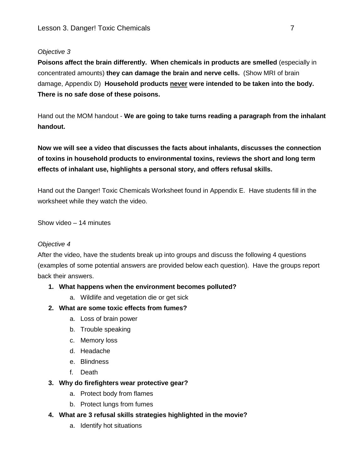# *Objective 3*

**Poisons affect the brain differently. When chemicals in products are smelled** (especially in concentrated amounts) **they can damage the brain and nerve cells.** (Show MRI of brain damage, Appendix D) **Household products never were intended to be taken into the body. There is no safe dose of these poisons.**

Hand out the MOM handout - **We are going to take turns reading a paragraph from the inhalant handout.** 

**Now we will see a video that discusses the facts about inhalants, discusses the connection of toxins in household products to environmental toxins, reviews the short and long term effects of inhalant use, highlights a personal story, and offers refusal skills.**

Hand out the Danger! Toxic Chemicals Worksheet found in Appendix E. Have students fill in the worksheet while they watch the video.

Show video – 14 minutes

#### *Objective 4*

After the video, have the students break up into groups and discuss the following 4 questions (examples of some potential answers are provided below each question). Have the groups report back their answers.

#### **1. What happens when the environment becomes polluted?**

a. Wildlife and vegetation die or get sick

#### **2. What are some toxic effects from fumes?**

- a. Loss of brain power
- b. Trouble speaking
- c. Memory loss
- d. Headache
- e. Blindness
- f. Death

#### **3. Why do firefighters wear protective gear?**

- a. Protect body from flames
- b. Protect lungs from fumes
- **4. What are 3 refusal skills strategies highlighted in the movie?**
	- a. Identify hot situations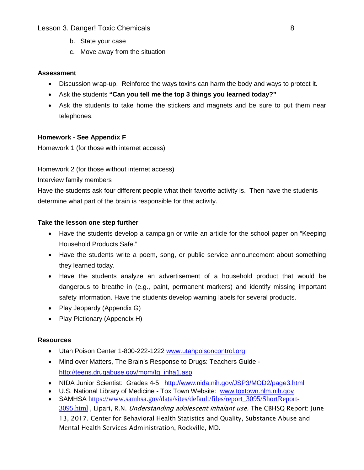#### Lesson 3. Danger! Toxic Chemicals 8

- b. State your case
- c. Move away from the situation

#### **Assessment**

- Discussion wrap-up. Reinforce the ways toxins can harm the body and ways to protect it.
- Ask the students **"Can you tell me the top 3 things you learned today?"**
- Ask the students to take home the stickers and magnets and be sure to put them near telephones.

# **Homework - See Appendix F**

Homework 1 (for those with internet access)

Homework 2 (for those without internet access)

Interview family members

Have the students ask four different people what their favorite activity is. Then have the students determine what part of the brain is responsible for that activity.

#### **Take the lesson one step further**

- Have the students develop a campaign or write an article for the school paper on "Keeping" Household Products Safe."
- Have the students write a poem, song, or public service announcement about something they learned today.
- Have the students analyze an advertisement of a household product that would be dangerous to breathe in (e.g., paint, permanent markers) and identify missing important safety information. Have the students develop warning labels for several products.
- Play Jeopardy (Appendix G)
- Play Pictionary (Appendix H)

# **Resources**

- Utah Poison Center 1-800-222-1222 [www.utahpoisoncontrol.org](http://www.utahpoisoncontrol.org/)
- Mind over Matters, The Brain's Response to Drugs: Teachers Guide [http://teens.drugabuse.gov/mom/tg\\_inha1.asp](http://teens.drugabuse.gov/mom/tg_inha1.asp)
- NIDA Junior Scientist: Grades 4-5 <http://www.nida.nih.gov/JSP3/MOD2/page3.html>
- U.S. National Library of Medicine Tox Town Website: [www.toxtown.nlm.nih.gov](http://www.toxtown.nlm.nih.gov/)
- SAMHSA https://www.samhsa.gov/data/sites/default/files/report 3095/ShortReport-[3095.html](https://www.samhsa.gov/data/sites/default/files/report_3095/ShortReport-3095.html), Lipari, R.N. *Understanding adolescent inhalant use.* The CBHSQ Report: June 13, 2017. Center for Behavioral Health Statistics and Quality, Substance Abuse and Mental Health Services Administration, Rockville, MD.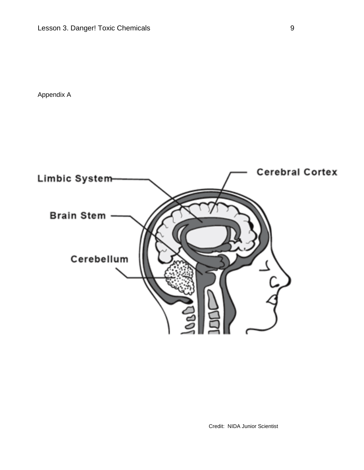Appendix A



Credit: NIDA Junior Scientist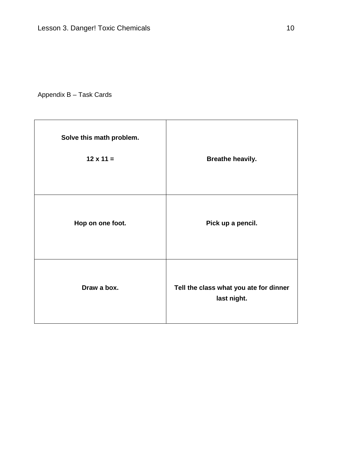# Appendix B – Task Cards

| Solve this math problem. |                                                       |
|--------------------------|-------------------------------------------------------|
| $12 \times 11 =$         | <b>Breathe heavily.</b>                               |
|                          |                                                       |
| Hop on one foot.         | Pick up a pencil.                                     |
| Draw a box.              | Tell the class what you ate for dinner<br>last night. |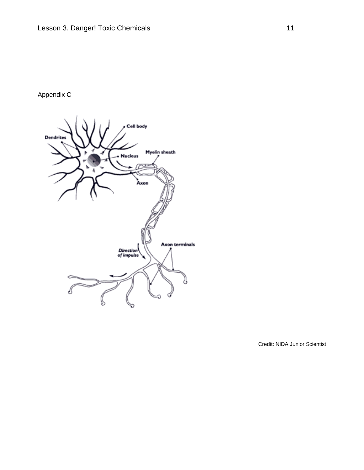# Appendix C



Credit: NIDA Junior Scientist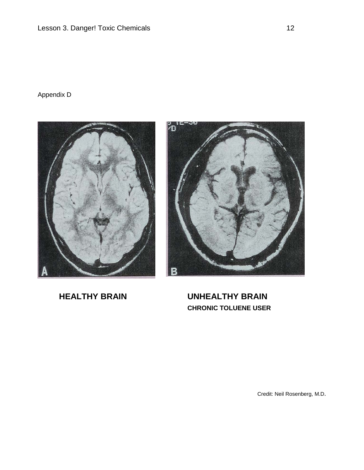# Appendix D





**HEALTHY BRAIN UNHEALTHY BRAIN CHRONIC TOLUENE USER**

Credit: Neil Rosenberg, M.D.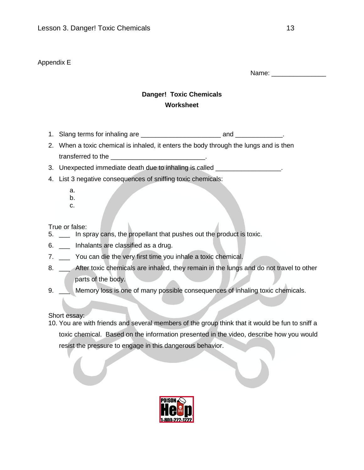# Appendix E

Name: \_\_\_\_\_\_\_\_\_\_\_\_\_\_\_

# **Danger! Toxic Chemicals Worksheet**

- 1. Slang terms for inhaling are \_\_\_\_\_\_\_\_\_\_\_\_\_\_\_\_\_\_\_\_\_\_ and \_\_\_\_\_\_\_\_\_\_\_\_\_.
- 2. When a toxic chemical is inhaled, it enters the body through the lungs and is then transferred to the
- 3. Unexpected immediate death due to inhaling is called \_\_\_\_\_\_\_\_\_\_\_\_\_\_\_\_\_\_.
- 4. List 3 negative consequences of sniffing toxic chemicals:
	- a. b.
	- c.
- True or false:
- 5. \_\_\_ In spray cans, the propellant that pushes out the product is toxic.
- 6. \_\_\_ Inhalants are classified as a drug.
- 7. \_\_\_ You can die the very first time you inhale a toxic chemical.
- 8. \_\_\_ After toxic chemicals are inhaled, they remain in the lungs and do not travel to other parts of the body.
- 9. \_\_ Memory loss is one of many possible consequences of inhaling toxic chemicals.

Short essay:

10. You are with friends and several members of the group think that it would be fun to sniff a toxic chemical. Based on the information presented in the video, describe how you would resist the pressure to engage in this dangerous behavior.

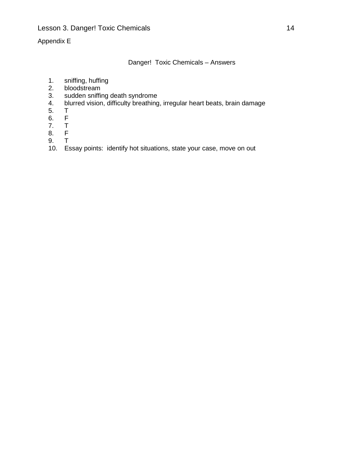# Appendix E

Danger! Toxic Chemicals – Answers

- 1. sniffing, huffing<br>2. bloodstream
- bloodstream
- 3. sudden sniffing death syndrome<br>4. blurred vision, difficulty breathing
- blurred vision, difficulty breathing, irregular heart beats, brain damage<br>T
- 
- 5. T<br>6. F<br>7. T  $6.$
- 7. T<br>8. F
- 8. F<br>9. T
- 9. T
- 10. Essay points: identify hot situations, state your case, move on out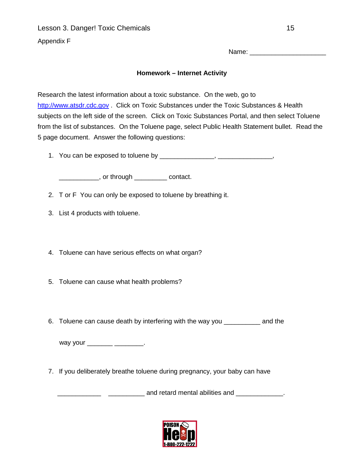Lesson 3. Danger! Toxic Chemicals 15

Appendix F

Name: \_\_\_\_\_\_\_\_\_\_\_\_\_\_\_\_\_\_\_\_\_

# **Homework – Internet Activity**

Research the latest information about a toxic substance. On the web, go to [http://www.atsdr.cdc.gov](http://www.atsdr.cdc.gov/) . Click on Toxic Substances under the Toxic Substances & Health subjects on the left side of the screen. Click on Toxic Substances Portal, and then select Toluene from the list of substances. On the Toluene page, select Public Health Statement bullet. Read the 5 page document. Answer the following questions:

1. You can be exposed to toluene by \_\_\_\_\_\_\_\_\_\_\_\_\_\_\_, \_\_\_\_\_\_\_\_\_\_\_\_\_\_\_,

\_\_\_\_\_\_\_\_\_\_\_, or through \_\_\_\_\_\_\_\_\_ contact.

2. T or F You can only be exposed to toluene by breathing it.

- 3. List 4 products with toluene.
- 4. Toluene can have serious effects on what organ?
- 5. Toluene can cause what health problems?
- 6. Toluene can cause death by interfering with the way you \_\_\_\_\_\_\_\_\_\_ and the

way your \_\_\_\_\_\_\_\_\_\_\_\_\_\_\_\_\_\_\_\_.

7. If you deliberately breathe toluene during pregnancy, your baby can have

L. 2010 and retard mental abilities and 100 and 100 and 100 and 100 and 100 and 100 and 100 and 100 and 100 an

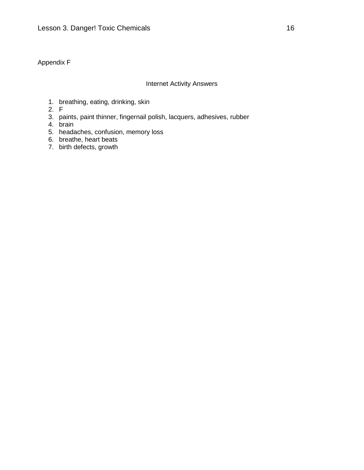# Appendix F

#### Internet Activity Answers

- 1. breathing, eating, drinking, skin
- 2. F
- 3. paints, paint thinner, fingernail polish, lacquers, adhesives, rubber
- 4. brain
- 5. headaches, confusion, memory loss
- 6. breathe, heart beats
- 7. birth defects, growth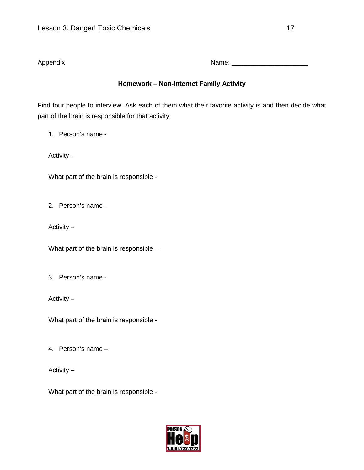Appendix Name: \_\_\_\_\_\_\_\_\_\_\_\_\_\_\_\_\_\_\_\_\_

# **Homework – Non-Internet Family Activity**

Find four people to interview. Ask each of them what their favorite activity is and then decide what part of the brain is responsible for that activity.

1. Person's name -

Activity –

What part of the brain is responsible -

2. Person's name -

Activity –

What part of the brain is responsible –

3. Person's name -

Activity –

What part of the brain is responsible -

4. Person's name –

Activity –

What part of the brain is responsible -

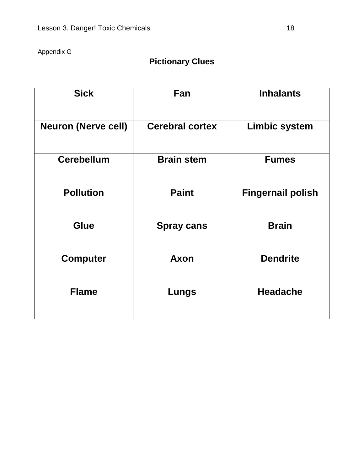# Appendix G

# **Pictionary Clues**

| <b>Sick</b>                | Fan                    | <b>Inhalants</b>         |
|----------------------------|------------------------|--------------------------|
| <b>Neuron (Nerve cell)</b> | <b>Cerebral cortex</b> | <b>Limbic system</b>     |
| <b>Cerebellum</b>          | <b>Brain stem</b>      | <b>Fumes</b>             |
| <b>Pollution</b>           | <b>Paint</b>           | <b>Fingernail polish</b> |
| <b>Glue</b>                | <b>Spray cans</b>      | <b>Brain</b>             |
| <b>Computer</b>            | <b>Axon</b>            | <b>Dendrite</b>          |
| <b>Flame</b>               | Lungs                  | <b>Headache</b>          |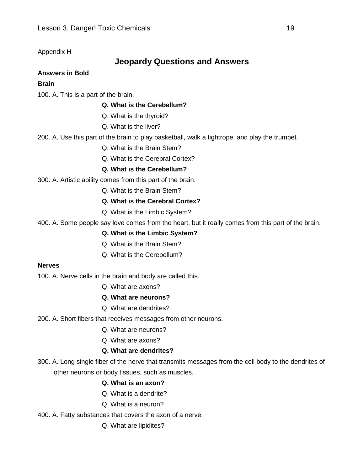# Appendix H

# **Jeopardy Questions and Answers**

#### **Answers in Bold**

#### **Brain**

100. A. This is a part of the brain.

# **Q. What is the Cerebellum?**

Q. What is the thyroid?

Q. What is the liver?

200. A. Use this part of the brain to play basketball, walk a tightrope, and play the trumpet.

Q. What is the Brain Stem?

Q. What is the Cerebral Cortex?

# **Q. What is the Cerebellum?**

300. A. Artistic ability comes from this part of the brain.

Q. What is the Brain Stem?

# **Q. What is the Cerebral Cortex?**

Q. What is the Limbic System?

400. A. Some people say love comes from the heart, but it really comes from this part of the brain.

#### **Q. What is the Limbic System?**

- Q. What is the Brain Stem?
- Q. What is the Cerebellum?

#### **Nerves**

100. A. Nerve cells in the brain and body are called this.

- Q. What are axons?
- **Q. What are neurons?**
- Q. What are dendrites?
- 200. A. Short fibers that receives messages from other neurons.
	- Q. What are neurons?
	- Q. What are axons?

#### **Q. What are dendrites?**

300. A. Long single fiber of the nerve that transmits messages from the cell body to the dendrites of other neurons or body tissues, such as muscles.

#### **Q. What is an axon?**

- Q. What is a dendrite?
- Q. What is a neuron?
- 400. A. Fatty substances that covers the axon of a nerve.
	- Q. What are lipidites?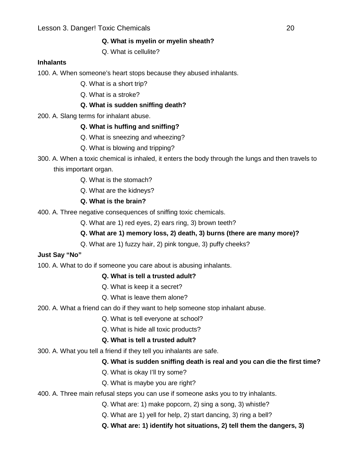# **Q. What is myelin or myelin sheath?**

Q. What is cellulite?

# **Inhalants**

100. A. When someone's heart stops because they abused inhalants.

- Q. What is a short trip?
- Q. What is a stroke?

# **Q. What is sudden sniffing death?**

200. A. Slang terms for inhalant abuse.

# **Q. What is huffing and sniffing?**

- Q. What is sneezing and wheezing?
- Q. What is blowing and tripping?
- 300. A. When a toxic chemical is inhaled, it enters the body through the lungs and then travels to this important organ.
	- Q. What is the stomach?
	- Q. What are the kidneys?

# **Q. What is the brain?**

- 400. A. Three negative consequences of sniffing toxic chemicals.
	- Q. What are 1) red eyes, 2) ears ring, 3) brown teeth?

# **Q. What are 1) memory loss, 2) death, 3) burns (there are many more)?**

Q. What are 1) fuzzy hair, 2) pink tongue, 3) puffy cheeks?

# **Just Say "No"**

100. A. What to do if someone you care about is abusing inhalants.

# **Q. What is tell a trusted adult?**

- Q. What is keep it a secret?
- Q. What is leave them alone?
- 200. A. What a friend can do if they want to help someone stop inhalant abuse.
	- Q. What is tell everyone at school?
	- Q. What is hide all toxic products?

# **Q. What is tell a trusted adult?**

300. A. What you tell a friend if they tell you inhalants are safe.

# **Q. What is sudden sniffing death is real and you can die the first time?**

- Q. What is okay I'll try some?
- Q. What is maybe you are right?

# 400. A. Three main refusal steps you can use if someone asks you to try inhalants.

- Q. What are: 1) make popcorn, 2) sing a song, 3) whistle?
- Q. What are 1) yell for help, 2) start dancing, 3) ring a bell?
- **Q. What are: 1) identify hot situations, 2) tell them the dangers, 3)**